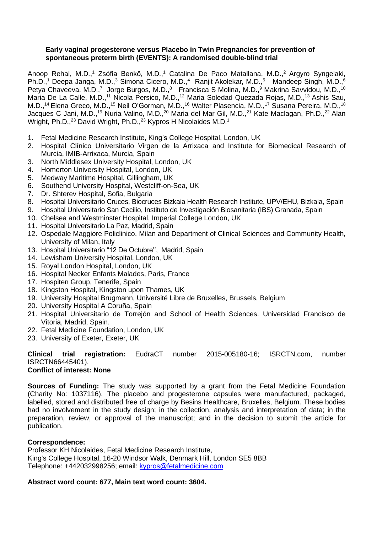## **Early vaginal progesterone versus Placebo in Twin Pregnancies for prevention of spontaneous preterm birth (EVENTS): A randomised double-blind trial**

Anoop Rehal, M.D.,<sup>1</sup> Zsófia Benkő, M.D.,<sup>1</sup> Catalina De Paco Matallana, M.D.,<sup>2</sup> Argyro Syngelaki, Ph.D.,<sup>1</sup> Deepa Janga, M.D.,<sup>3</sup> Simona Cicero, M.D.,<sup>4</sup> Ranjit Akolekar, M.D.,<sup>5</sup> Mandeep Singh, M.D.,<sup>6</sup> Petya Chaveeva, M.D.,<sup>7</sup> Jorge Burgos, M.D.,<sup>8</sup> Francisca S Molina, M.D.,<sup>9</sup> Makrina Savvidou, M.D.,<sup>10</sup> Maria De La Calle, M.D.,<sup>11</sup> Nicola Persico, M.D.,<sup>12</sup> Maria Soledad Quezada Rojas, M.D.,<sup>13</sup> Ashis Sau, M.D.,<sup>14</sup> Elena Greco, M.D.,<sup>15</sup> Neil O'Gorman, M.D.,<sup>16</sup> Walter Plasencia, M.D.,<sup>17</sup> Susana Pereira, M.D.,<sup>18</sup> Jacques C Jani, M.D.,<sup>19</sup> Nuria Valino, M.D.,<sup>20</sup> Maria del Mar Gil, M.D.,<sup>21</sup> Kate Maclagan, Ph.D.,<sup>22</sup> Alan Wright, Ph.D.,<sup>23</sup> David Wright, Ph.D.,<sup>23</sup> Kypros H Nicolaides M.D.<sup>1</sup>

- 1. Fetal Medicine Research Institute, King's College Hospital, London, UK
- 2. Hospital Clínico Universitario Virgen de la Arrixaca and Institute for Biomedical Research of Murcia, IMIB-Arrixaca, Murcia, Spain
- 3. North Middlesex University Hospital, London, UK
- 4. Homerton University Hospital, London, UK
- 5. Medway Maritime Hospital, Gillingham, UK
- 6. Southend University Hospital, Westcliff-on-Sea, UK
- 7. Dr. Shterev Hospital, Sofia, Bulgaria
- 8. Hospital Universitario Cruces, Biocruces Bizkaia Health Research Institute, UPV/EHU, Bizkaia, Spain
- 9. Hospital Universitario San Cecilio, Instituto de Investigación Biosanitaria (IBS) Granada, Spain
- 10. Chelsea and Westminster Hospital, Imperial College London, UK
- 11. Hospital Universitario La Paz, Madrid, Spain
- 12. Ospedale Maggiore Policlinico, Milan and Department of Clinical Sciences and Community Health, University of Milan, Italy
- 13. Hospital Universitario "12 De Octubre'', Madrid, Spain
- 14. Lewisham University Hospital, London, UK
- 15. Royal London Hospital, London, UK
- 16. Hospital Necker Enfants Malades, Paris, France
- 17. Hospiten Group, Tenerife, Spain
- 18. Kingston Hospital, Kingston upon Thames, UK
- 19. University Hospital Brugmann, Université Libre de Bruxelles, Brussels, Belgium
- 20. University Hospital A Coruña, Spain
- 21. Hospital Universitario de Torrejón and School of Health Sciences. Universidad Francisco de Vitoria, Madrid, Spain.
- 22. Fetal Medicine Foundation, London, UK
- 23. University of Exeter, Exeter, UK

#### **Clinical trial registration:** EudraCT number 2015-005180-16; ISRCTN.com, number ISRCTN66445401). **Conflict of interest: None**

**Sources of Funding:** The study was supported by a grant from the Fetal Medicine Foundation (Charity No: 1037116). The placebo and progesterone capsules were manufactured, packaged, labelled, stored and distributed free of charge by Besins Healthcare, Bruxelles, Belgium. These bodies had no involvement in the study design; in the collection, analysis and interpretation of data; in the preparation, review, or approval of the manuscript; and in the decision to submit the article for publication.

## **Correspondence:**

Professor KH Nicolaides, Fetal Medicine Research Institute, King's College Hospital, 16-20 Windsor Walk, Denmark Hill, London SE5 8BB Telephone: +442032998256; email: [kypros@fetalmedicine.com](mailto:kypros@fetalmedicine.com)

## **Abstract word count: 677, Main text word count: 3604.**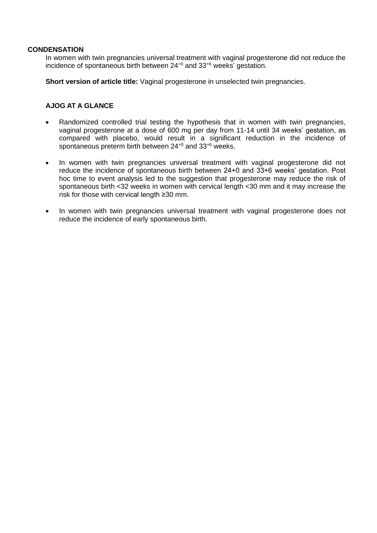## **CONDENSATION**

In women with twin pregnancies universal treatment with vaginal progesterone did not reduce the incidence of spontaneous birth between 24+0 and 33+6 weeks' gestation.

**Short version of article title:** Vaginal progesterone in unselected twin pregnancies.

# **AJOG AT A GLANCE**

- Randomized controlled trial testing the hypothesis that in women with twin pregnancies, vaginal progesterone at a dose of 600 mg per day from 11-14 until 34 weeks' gestation, as compared with placebo, would result in a significant reduction in the incidence of spontaneous preterm birth between 24<sup>+0</sup> and 33<sup>+6</sup> weeks.
- In women with twin pregnancies universal treatment with vaginal progesterone did not reduce the incidence of spontaneous birth between 24+0 and 33+6 weeks' gestation. Post hoc time to event analysis led to the suggestion that progesterone may reduce the risk of spontaneous birth <32 weeks in women with cervical length <30 mm and it may increase the risk for those with cervical length ≥30 mm.
- In women with twin pregnancies universal treatment with vaginal progesterone does not reduce the incidence of early spontaneous birth.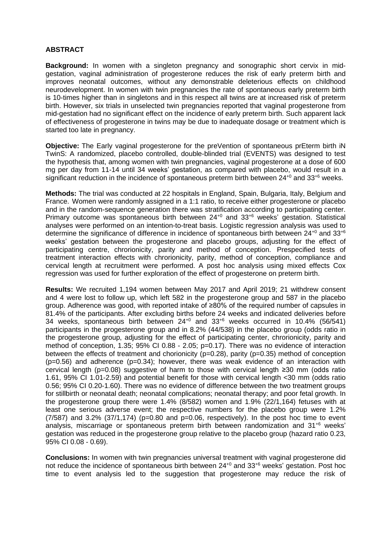## **ABSTRACT**

**Background:** In women with a singleton pregnancy and sonographic short cervix in midgestation, vaginal administration of progesterone reduces the risk of early preterm birth and improves neonatal outcomes, without any demonstrable deleterious effects on childhood neurodevelopment. In women with twin pregnancies the rate of spontaneous early preterm birth is 10-times higher than in singletons and in this respect all twins are at increased risk of preterm birth. However, six trials in unselected twin pregnancies reported that vaginal progesterone from mid-gestation had no significant effect on the incidence of early preterm birth. Such apparent lack of effectiveness of progesterone in twins may be due to inadequate dosage or treatment which is started too late in pregnancy.

**Objective:** The Early vaginal progesterone for the preVention of spontaneous prEterm birth iN TwinS: A randomized, placebo controlled, double-blinded trial (EVENTS) was designed to test the hypothesis that, among women with twin pregnancies, vaginal progesterone at a dose of 600 mg per day from 11-14 until 34 weeks' gestation, as compared with placebo, would result in a significant reduction in the incidence of spontaneous preterm birth between  $24^{+0}$  and  $33^{+6}$  weeks.

**Methods:** The trial was conducted at 22 hospitals in England, Spain, Bulgaria, Italy, Belgium and France. Women were randomly assigned in a 1:1 ratio, to receive either progesterone or placebo and in the random-sequence generation there was stratification according to participating center. Primary outcome was spontaneous birth between  $24^{+0}$  and  $33^{+6}$  weeks' gestation. Statistical analyses were performed on an intention-to-treat basis. Logistic regression analysis was used to determine the significance of difference in incidence of spontaneous birth between  $24^{+0}$  and  $33^{+6}$ weeks' gestation between the progesterone and placebo groups, adjusting for the effect of participating centre, chrorionicity, parity and method of conception. Prespecified tests of treatment interaction effects with chrorionicity, parity, method of conception, compliance and cervical length at recruitment were performed. A post hoc analysis using mixed effects Cox regression was used for further exploration of the effect of progesterone on preterm birth.

**Results:** We recruited 1,194 women between May 2017 and April 2019; 21 withdrew consent and 4 were lost to follow up, which left 582 in the progesterone group and 587 in the placebo group. Adherence was good, with reported intake of ≥80% of the required number of capsules in 81.4% of the participants. After excluding births before 24 weeks and indicated deliveries before 34 weeks, spontaneous birth between 24+0 and 33+6 weeks occurred in 10.4% (56/541) participants in the progesterone group and in 8.2% (44/538) in the placebo group (odds ratio in the progesterone group, adjusting for the effect of participating center, chrorionicity, parity and method of conception, 1.35; 95% CI 0.88 - 2.05; p=0.17). There was no evidence of interaction between the effects of treatment and chorionicity ( $p=0.28$ ), parity ( $p=0.35$ ) method of conception  $(p=0.56)$  and adherence  $(p=0.34)$ ; however, there was weak evidence of an interaction with cervical length (p=0.08) suggestive of harm to those with cervical length ≥30 mm (odds ratio 1.61, 95% CI 1.01-2.59) and potential benefit for those with cervical length <30 mm (odds ratio 0.56; 95% CI 0.20-1.60). There was no evidence of difference between the two treatment groups for stillbirth or neonatal death; neonatal complications; neonatal therapy; and poor fetal growth. In the progesterone group there were 1.4% (8/582) women and 1.9% (22/1,164) fetuses with at least one serious adverse event; the respective numbers for the placebo group were 1.2%  $(7/587)$  and  $3.2\%$   $(37/1,174)$  (p=0.80 and p=0.06, respectively). In the post hoc time to event analysis, miscarriage or spontaneous preterm birth between randomization and 31<sup>+6</sup> weeks' gestation was reduced in the progesterone group relative to the placebo group (hazard ratio 0.23, 95% CI 0.08 - 0.69).

**Conclusions:** In women with twin pregnancies universal treatment with vaginal progesterone did not reduce the incidence of spontaneous birth between 24<sup>+0</sup> and 33<sup>+6</sup> weeks' gestation. Post hoc time to event analysis led to the suggestion that progesterone may reduce the risk of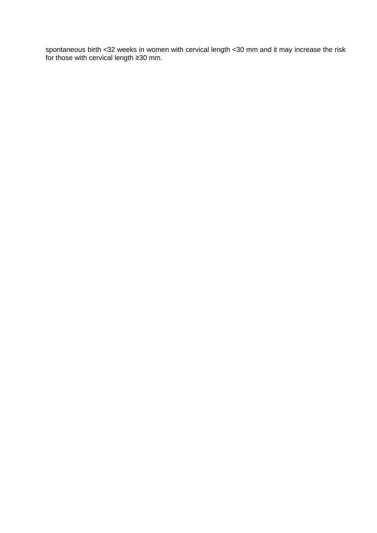spontaneous birth <32 weeks in women with cervical length <30 mm and it may increase the risk for those with cervical length ≥30 mm.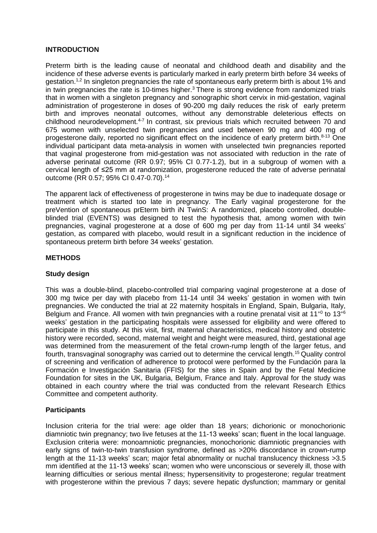## **INTRODUCTION**

Preterm birth is the leading cause of neonatal and childhood death and disability and the incidence of these adverse events is particularly marked in early preterm birth before 34 weeks of gestation.<sup>1,2</sup> In singleton pregnancies the rate of spontaneous early preterm birth is about 1% and in twin pregnancies the rate is 10-times higher.<sup>3</sup> There is strong evidence from randomized trials that in women with a singleton pregnancy and sonographic short cervix in mid-gestation, vaginal administration of progesterone in doses of 90-200 mg daily reduces the risk of early preterm birth and improves neonatal outcomes, without any demonstrable deleterious effects on childhood neurodevelopment.<sup>4-7</sup> In contrast, six previous trials which recruited between 70 and 675 women with unselected twin pregnancies and used between 90 mg and 400 mg of progesterone daily, reported no significant effect on the incidence of early preterm birth. $8-13$  One individual participant data meta-analysis in women with unselected twin pregnancies reported that vaginal progesterone from mid-gestation was not associated with reduction in the rate of adverse perinatal outcome (RR 0.97; 95% CI 0.77-1.2), but in a subgroup of women with a cervical length of ≤25 mm at randomization, progesterone reduced the rate of adverse perinatal outcome (RR 0.57; 95% CI 0.47-0.70).<sup>14</sup>

The apparent lack of effectiveness of progesterone in twins may be due to inadequate dosage or treatment which is started too late in pregnancy. The Early vaginal progesterone for the preVention of spontaneous prEterm birth iN TwinS: A randomized, placebo controlled, doubleblinded trial (EVENTS) was designed to test the hypothesis that, among women with twin pregnancies, vaginal progesterone at a dose of 600 mg per day from 11-14 until 34 weeks' gestation, as compared with placebo, would result in a significant reduction in the incidence of spontaneous preterm birth before 34 weeks' gestation.

## **METHODS**

# **Study design**

This was a double-blind, placebo-controlled trial comparing vaginal progesterone at a dose of 300 mg twice per day with placebo from 11-14 until 34 weeks' gestation in women with twin pregnancies. We conducted the trial at 22 maternity hospitals in England, Spain, Bulgaria, Italy, Belgium and France. All women with twin pregnancies with a routine prenatal visit at  $11^{+0}$  to  $13^{+6}$ weeks' gestation in the participating hospitals were assessed for eligibility and were offered to participate in this study. At this visit, first, maternal characteristics, medical history and obstetric history were recorded, second, maternal weight and height were measured, third, gestational age was determined from the measurement of the fetal crown-rump length of the larger fetus, and fourth, transvaginal sonography was carried out to determine the cervical length.<sup>15</sup> Quality control of screening and verification of adherence to protocol were performed by the Fundación para la Formación e Investigación Sanitaria (FFIS) for the sites in Spain and by the Fetal Medicine Foundation for sites in the UK, Bulgaria, Belgium, France and Italy. Approval for the study was obtained in each country where the trial was conducted from the relevant Research Ethics Committee and competent authority.

# **Participants**

Inclusion criteria for the trial were: age older than 18 years; dichorionic or monochorionic diamniotic twin pregnancy; two live fetuses at the 11-13 weeks' scan; fluent in the local language. Exclusion criteria were: monoamniotic pregnancies, monochorionic diamniotic pregnancies with early signs of twin-to-twin transfusion syndrome, defined as >20% discordance in crown-rump length at the 11-13 weeks' scan; major fetal abnormality or nuchal translucency thickness >3.5 mm identified at the 11-13 weeks' scan; women who were unconscious or severely ill, those with learning difficulties or serious mental illness; hypersensitivity to progesterone; regular treatment with progesterone within the previous 7 days; severe hepatic dysfunction; mammary or genital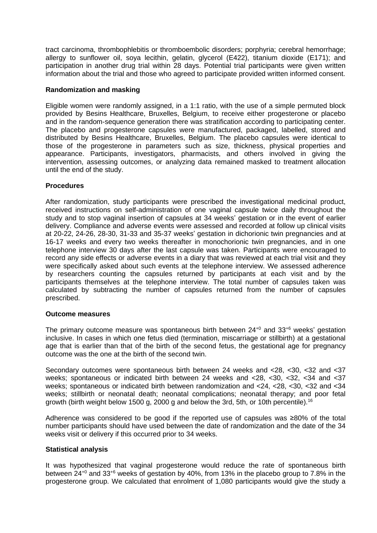tract carcinoma, thrombophlebitis or thromboembolic disorders; porphyria; cerebral hemorrhage; allergy to sunflower oil, soya lecithin, gelatin, glycerol (E422), titanium dioxide (E171); and participation in another drug trial within 28 days. Potential trial participants were given written information about the trial and those who agreed to participate provided written informed consent.

## **Randomization and masking**

Eligible women were randomly assigned, in a 1:1 ratio, with the use of a simple permuted block provided by Besins Healthcare, Bruxelles, Belgium, to receive either progesterone or placebo and in the random-sequence generation there was stratification according to participating center. The placebo and progesterone capsules were manufactured, packaged, labelled, stored and distributed by Besins Healthcare, Bruxelles, Belgium. The placebo capsules were identical to those of the progesterone in parameters such as size, thickness, physical properties and appearance. Participants, investigators, pharmacists, and others involved in giving the intervention, assessing outcomes, or analyzing data remained masked to treatment allocation until the end of the study.

## **Procedures**

After randomization, study participants were prescribed the investigational medicinal product, received instructions on self-administration of one vaginal capsule twice daily throughout the study and to stop vaginal insertion of capsules at 34 weeks' gestation or in the event of earlier delivery. Compliance and adverse events were assessed and recorded at follow up clinical visits at 20-22, 24-26, 28-30, 31-33 and 35-37 weeks' gestation in dichorionic twin pregnancies and at 16-17 weeks and every two weeks thereafter in monochorionic twin pregnancies, and in one telephone interview 30 days after the last capsule was taken. Participants were encouraged to record any side effects or adverse events in a diary that was reviewed at each trial visit and they were specifically asked about such events at the telephone interview. We assessed adherence by researchers counting the capsules returned by participants at each visit and by the participants themselves at the telephone interview. The total number of capsules taken was calculated by subtracting the number of capsules returned from the number of capsules prescribed.

## **Outcome measures**

The primary outcome measure was spontaneous birth between  $24^{+0}$  and  $33^{+6}$  weeks' gestation inclusive. In cases in which one fetus died (termination, miscarriage or stillbirth) at a gestational age that is earlier than that of the birth of the second fetus, the gestational age for pregnancy outcome was the one at the birth of the second twin.

Secondary outcomes were spontaneous birth between 24 weeks and <28, <30, <32 and <37 weeks; spontaneous or indicated birth between 24 weeks and <28, <30, <32, <34 and <37 weeks; spontaneous or indicated birth between randomization and <24, <28, <30, <32 and <34 weeks; stillbirth or neonatal death; neonatal complications; neonatal therapy; and poor fetal growth (birth weight below 1500 g, 2000 g and below the 3rd, 5th, or 10th percentile).<sup>16</sup>

Adherence was considered to be good if the reported use of capsules was ≥80% of the total number participants should have used between the date of randomization and the date of the 34 weeks visit or delivery if this occurred prior to 34 weeks.

## **Statistical analysis**

It was hypothesized that vaginal progesterone would reduce the rate of spontaneous birth between 24+0 and 33+6 weeks of gestation by 40%, from 13% in the placebo group to 7.8% in the progesterone group. We calculated that enrolment of 1,080 participants would give the study a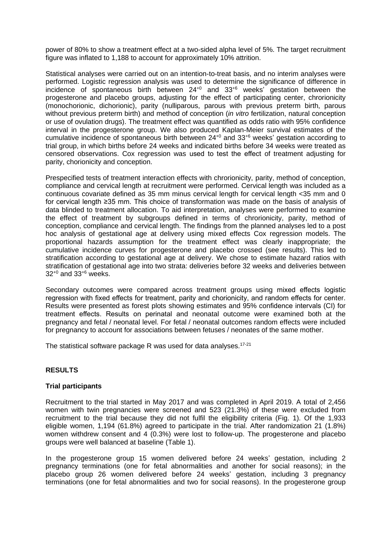power of 80% to show a treatment effect at a two-sided alpha level of 5%. The target recruitment figure was inflated to 1,188 to account for approximately 10% attrition.

Statistical analyses were carried out on an intention-to-treat basis, and no interim analyses were performed. Logistic regression analysis was used to determine the significance of difference in incidence of spontaneous birth between 24+0 and 33+6 weeks' gestation between the progesterone and placebo groups, adjusting for the effect of participating center, chrorionicity (monochorionic, dichorionic), parity (nulliparous, parous with previous preterm birth, parous without previous preterm birth) and method of conception (*in vitro* fertilization, natural conception or use of ovulation drugs). The treatment effect was quantified as odds ratio with 95% confidence interval in the progesterone group. We also produced Kaplan-Meier survival estimates of the cumulative incidence of spontaneous birth between 24+0 and 33+6 weeks' gestation according to trial group, in which births before 24 weeks and indicated births before 34 weeks were treated as censored observations. Cox regression was used to test the effect of treatment adjusting for parity, chorionicity and conception.

Prespecified tests of treatment interaction effects with chrorionicity, parity, method of conception, compliance and cervical length at recruitment were performed. Cervical length was included as a continuous covariate defined as 35 mm minus cervical length for cervical length <35 mm and 0 for cervical length ≥35 mm. This choice of transformation was made on the basis of analysis of data blinded to treatment allocation. To aid interpretation, analyses were performed to examine the effect of treatment by subgroups defined in terms of chrorionicity, parity, method of conception, compliance and cervical length. The findings from the planned analyses led to a post hoc analysis of gestational age at delivery using mixed effects Cox regression models. The proportional hazards assumption for the treatment effect was clearly inappropriate; the cumulative incidence curves for progesterone and placebo crossed (see results). This led to stratification according to gestational age at delivery. We chose to estimate hazard ratios with stratification of gestational age into two strata: deliveries before 32 weeks and deliveries between 32+0 and 33+6 weeks.

Secondary outcomes were compared across treatment groups using mixed effects logistic regression with fixed effects for treatment, parity and chorionicity, and random effects for center. Results were presented as forest plots showing estimates and 95% confidence intervals (CI) for treatment effects. Results on perinatal and neonatal outcome were examined both at the pregnancy and fetal / neonatal level. For fetal / neonatal outcomes random effects were included for pregnancy to account for associations between fetuses / neonates of the same mother.

The statistical software package R was used for data analyses.<sup>17-21</sup>

# **RESULTS**

## **Trial participants**

Recruitment to the trial started in May 2017 and was completed in April 2019. A total of 2,456 women with twin pregnancies were screened and 523 (21.3%) of these were excluded from recruitment to the trial because they did not fulfil the eligibility criteria (Fig. 1). Of the 1,933 eligible women, 1,194 (61.8%) agreed to participate in the trial. After randomization 21 (1.8%) women withdrew consent and 4 (0.3%) were lost to follow-up. The progesterone and placebo groups were well balanced at baseline (Table 1).

In the progesterone group 15 women delivered before 24 weeks' gestation, including 2 pregnancy terminations (one for fetal abnormalities and another for social reasons); in the placebo group 26 women delivered before 24 weeks' gestation, including 3 pregnancy terminations (one for fetal abnormalities and two for social reasons). In the progesterone group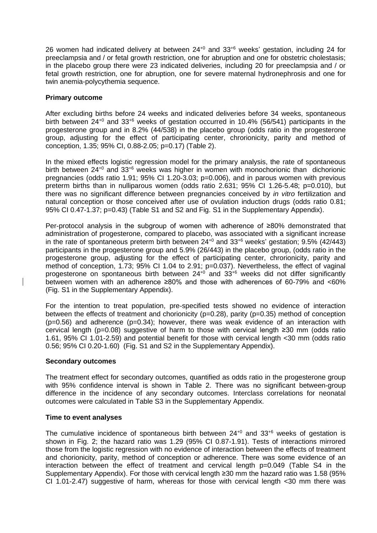26 women had indicated delivery at between  $24^{+0}$  and  $33^{+6}$  weeks' gestation, including 24 for preeclampsia and / or fetal growth restriction, one for abruption and one for obstetric cholestasis; in the placebo group there were 23 indicated deliveries, including 20 for preeclampsia and / or fetal growth restriction, one for abruption, one for severe maternal hydronephrosis and one for twin anemia-polycythemia sequence.

## **Primary outcome**

After excluding births before 24 weeks and indicated deliveries before 34 weeks, spontaneous birth between 24<sup>+0</sup> and 33<sup>+6</sup> weeks of gestation occurred in 10.4% (56/541) participants in the progesterone group and in 8.2% (44/538) in the placebo group (odds ratio in the progesterone group, adjusting for the effect of participating center, chrorionicity, parity and method of conception, 1.35; 95% CI, 0.88-2.05; p=0.17) (Table 2).

In the mixed effects logistic regression model for the primary analysis, the rate of spontaneous birth between  $24^{+0}$  and  $33^{+6}$  weeks was higher in women with monochorionic than dichorionic pregnancies (odds ratio 1.91; 95% CI 1.20-3.03; p=0.006), and in parous women with previous preterm births than in nulliparous women (odds ratio 2.631; 95% CI 1.26-5.48; p=0.010), but there was no significant difference between pregnancies conceived by *in vitro* fertilization and natural conception or those conceived after use of ovulation induction drugs (odds ratio 0.81; 95% CI 0.47-1.37; p=0.43) (Table S1 and S2 and Fig. S1 in the Supplementary Appendix).

Per-protocol analysis in the subgroup of women with adherence of ≥80% demonstrated that administration of progesterone, compared to placebo, was associated with a significant increase in the rate of spontaneous preterm birth between  $24^{+0}$  and  $33^{+6}$  weeks' gestation; 9.5% (42/443) participants in the progesterone group and 5.9% (26/443) in the placebo group, (odds ratio in the progesterone group, adjusting for the effect of participating center, chrorionicity, parity and method of conception, 1.73; 95% CI 1.04 to 2.91; p=0.037). Nevertheless, the effect of vaginal progesterone on spontaneous birth between  $24^{+0}$  and  $33^{+6}$  weeks did not differ significantly between women with an adherence ≥80% and those with adherences of 60-79% and <60% (Fig. S1 in the Supplementary Appendix).

For the intention to treat population, pre-specified tests showed no evidence of interaction between the effects of treatment and chorionicity (p=0.28), parity (p=0.35) method of conception  $(p=0.56)$  and adherence  $(p=0.34)$ ; however, there was weak evidence of an interaction with cervical length (p=0.08) suggestive of harm to those with cervical length ≥30 mm (odds ratio 1.61, 95% CI 1.01-2.59) and potential benefit for those with cervical length <30 mm (odds ratio 0.56; 95% CI 0.20-1.60) (Fig. S1 and S2 in the Supplementary Appendix).

## **Secondary outcomes**

The treatment effect for secondary outcomes, quantified as odds ratio in the progesterone group with 95% confidence interval is shown in Table 2. There was no significant between-group difference in the incidence of any secondary outcomes. Interclass correlations for neonatal outcomes were calculated in Table S3 in the Supplementary Appendix.

## **Time to event analyses**

The cumulative incidence of spontaneous birth between  $24^{+0}$  and  $33^{+6}$  weeks of gestation is shown in Fig. 2; the hazard ratio was 1.29 (95% CI 0.87-1.91). Tests of interactions mirrored those from the logistic regression with no evidence of interaction between the effects of treatment and chorionicity, parity, method of conception or adherence. There was some evidence of an interaction between the effect of treatment and cervical length p=0.049 (Table S4 in the Supplementary Appendix). For those with cervical length ≥30 mm the hazard ratio was 1.58 (95% CI 1.01-2.47) suggestive of harm, whereas for those with cervical length <30 mm there was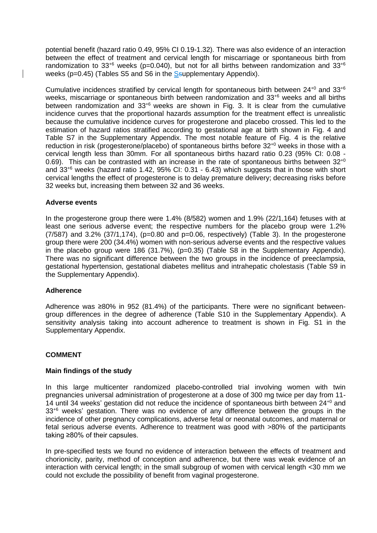potential benefit (hazard ratio 0.49, 95% CI 0.19-1.32). There was also evidence of an interaction between the effect of treatment and cervical length for miscarriage or spontaneous birth from randomization to 33<sup>+6</sup> weeks (p=0.040), but not for all births between randomization and 33<sup>+6</sup> weeks (p=0.45) (Tables S5 and S6 in the Ssupplementary Appendix).

Cumulative incidences stratified by cervical length for spontaneous birth between  $24^{+0}$  and  $33^{+6}$ weeks, miscarriage or spontaneous birth between randomization and 33<sup>+6</sup> weeks and all births between randomization and  $33^{+6}$  weeks are shown in Fig. 3. It is clear from the cumulative incidence curves that the proportional hazards assumption for the treatment effect is unrealistic because the cumulative incidence curves for progesterone and placebo crossed. This led to the estimation of hazard ratios stratified according to gestational age at birth shown in Fig. 4 and Table S7 in the Supplementary Appendix. The most notable feature of Fig. 4 is the relative reduction in risk (progesterone/placebo) of spontaneous births before  $32^{+0}$  weeks in those with a cervical length less than 30mm. For all spontaneous births hazard ratio 0.23 (95% CI: 0.08 - 0.69). This can be contrasted with an increase in the rate of spontaneous births between  $32^{+0}$ and 33+6 weeks (hazard ratio 1.42, 95% CI: 0.31 - 6.43) which suggests that in those with short cervical lengths the effect of progesterone is to delay premature delivery; decreasing risks before 32 weeks but, increasing them between 32 and 36 weeks.

# **Adverse events**

In the progesterone group there were 1.4% (8/582) women and 1.9% (22/1,164) fetuses with at least one serious adverse event; the respective numbers for the placebo group were 1.2%  $(7/587)$  and 3.2%  $(37/1,174)$ ,  $(p=0.80$  and  $p=0.06$ , respectively) (Table 3). In the progesterone group there were 200 (34.4%) women with non-serious adverse events and the respective values in the placebo group were 186 (31.7%), (p=0.35) (Table S8 in the Supplementary Appendix). There was no significant difference between the two groups in the incidence of preeclampsia, gestational hypertension, gestational diabetes mellitus and intrahepatic cholestasis (Table S9 in the Supplementary Appendix).

## **Adherence**

Adherence was ≥80% in 952 (81.4%) of the participants. There were no significant betweengroup differences in the degree of adherence (Table S10 in the Supplementary Appendix). A sensitivity analysis taking into account adherence to treatment is shown in Fig. S1 in the Supplementary Appendix.

# **COMMENT**

## **Main findings of the study**

In this large multicenter randomized placebo-controlled trial involving women with twin pregnancies universal administration of progesterone at a dose of 300 mg twice per day from 11- 14 until 34 weeks' gestation did not reduce the incidence of spontaneous birth between 24+0 and 33<sup>+6</sup> weeks' gestation. There was no evidence of any difference between the groups in the incidence of other pregnancy complications, adverse fetal or neonatal outcomes, and maternal or fetal serious adverse events. Adherence to treatment was good with >80% of the participants taking ≥80% of their capsules.

In pre-specified tests we found no evidence of interaction between the effects of treatment and chorionicity, parity, method of conception and adherence, but there was weak evidence of an interaction with cervical length; in the small subgroup of women with cervical length <30 mm we could not exclude the possibility of benefit from vaginal progesterone.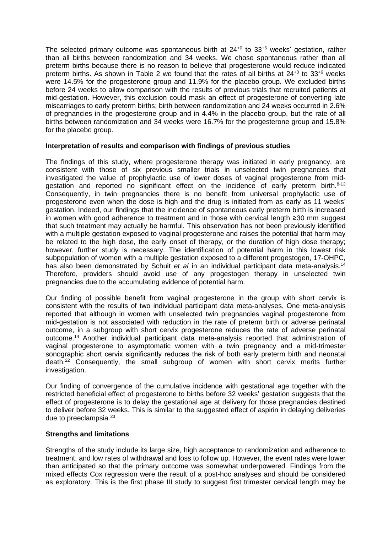The selected primary outcome was spontaneous birth at  $24^{+0}$  to  $33^{+6}$  weeks' gestation, rather than all births between randomization and 34 weeks. We chose spontaneous rather than all preterm births because there is no reason to believe that progesterone would reduce indicated preterm births. As shown in Table 2 we found that the rates of all births at  $24^{+0}$  to  $33^{+6}$  weeks were 14.5% for the progesterone group and 11.9% for the placebo group. We excluded births before 24 weeks to allow comparison with the results of previous trials that recruited patients at mid-gestation. However, this exclusion could mask an effect of progesterone of converting late miscarriages to early preterm births; birth between randomization and 24 weeks occurred in 2.6% of pregnancies in the progesterone group and in 4.4% in the placebo group, but the rate of all births between randomization and 34 weeks were 16.7% for the progesterone group and 15.8% for the placebo group.

## **Interpretation of results and comparison with findings of previous studies**

The findings of this study, where progesterone therapy was initiated in early pregnancy, are consistent with those of six previous smaller trials in unselected twin pregnancies that investigated the value of prophylactic use of lower doses of vaginal progesterone from midgestation and reported no significant effect on the incidence of early preterm birth.<sup>8-13</sup> Consequently, in twin pregnancies there is no benefit from universal prophylactic use of progesterone even when the dose is high and the drug is initiated from as early as 11 weeks' gestation. Indeed, our findings that the incidence of spontaneous early preterm birth is increased in women with good adherence to treatment and in those with cervical length ≥30 mm suggest that such treatment may actually be harmful. This observation has not been previously identified with a multiple gestation exposed to vaginal progesterone and raises the potential that harm may be related to the high dose, the early onset of therapy, or the duration of high dose therapy; however, further study is necessary. The identification of potential harm in this lowest risk subpopulation of women with a multiple gestation exposed to a different progestogen, 17-OHPC, has also been demonstrated by Schuit *et al* in an individual participant data meta-analysis. 14 Therefore, providers should avoid use of any progestogen therapy in unselected twin pregnancies due to the accumulating evidence of potential harm.

Our finding of possible benefit from vaginal progesterone in the group with short cervix is consistent with the results of two individual participant data meta-analyses. One meta-analysis reported that although in women with unselected twin pregnancies vaginal progesterone from mid-gestation is not associated with reduction in the rate of preterm birth or adverse perinatal outcome, in a subgroup with short cervix progesterone reduces the rate of adverse perinatal outcome.<sup>14</sup> Another individual participant data meta-analysis reported that administration of vaginal progesterone to asymptomatic women with a twin pregnancy and a mid-trimester sonographic short cervix significantly reduces the risk of both early preterm birth and neonatal death.<sup>22</sup> Consequently, the small subgroup of women with short cervix merits further investigation.

Our finding of convergence of the cumulative incidence with gestational age together with the restricted beneficial effect of progesterone to births before 32 weeks' gestation suggests that the effect of progesterone is to delay the gestational age at delivery for those pregnancies destined to deliver before 32 weeks. This is similar to the suggested effect of aspirin in delaying deliveries due to preeclampsia.<sup>23</sup>

## **Strengths and limitations**

Strengths of the study include its large size, high acceptance to randomization and adherence to treatment, and low rates of withdrawal and loss to follow up. However, the event rates were lower than anticipated so that the primary outcome was somewhat underpowered. Findings from the mixed effects Cox regression were the result of a post-hoc analyses and should be considered as exploratory. This is the first phase III study to suggest first trimester cervical length may be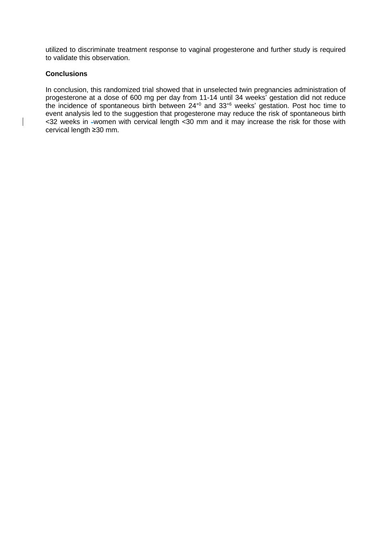utilized to discriminate treatment response to vaginal progesterone and further study is required to validate this observation.

# **Conclusions**

In conclusion, this randomized trial showed that in unselected twin pregnancies administration of progesterone at a dose of 600 mg per day from 11-14 until 34 weeks' gestation did not reduce the incidence of spontaneous birth between  $24^{+0}$  and  $33^{+6}$  weeks' gestation. Post hoc time to event analysis led to the suggestion that progesterone may reduce the risk of spontaneous birth <32 weeks in -women with cervical length <30 mm and it may increase the risk for those with cervical length ≥30 mm.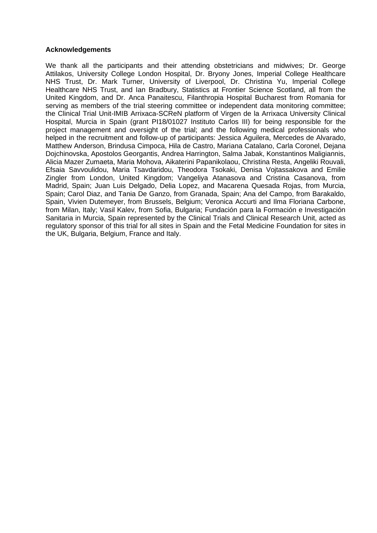## **Acknowledgements**

We thank all the participants and their attending obstetricians and midwives; Dr. George Attilakos, University College London Hospital, Dr. Bryony Jones, Imperial College Healthcare NHS Trust, Dr. Mark Turner, University of Liverpool, Dr. Christina Yu, Imperial College Healthcare NHS Trust, and Ian Bradbury, Statistics at Frontier Science Scotland, all from the United Kingdom, and Dr. Anca Panaitescu, Filanthropia Hospital Bucharest from Romania for serving as members of the trial steering committee or independent data monitoring committee; the Clinical Trial Unit-IMIB Arrixaca-SCReN platform of Virgen de la Arrixaca University Clinical Hospital, Murcia in Spain (grant PI18/01027 Instituto Carlos III) for being responsible for the project management and oversight of the trial; and the following medical professionals who helped in the recruitment and follow-up of participants: Jessica Aguilera, Mercedes de Alvarado, Matthew Anderson, Brindusa Cimpoca, Hila de Castro, Mariana Catalano, Carla Coronel, Dejana Dojchinovska, Apostolos Georgantis, Andrea Harrington, Salma Jabak, Konstantinos Maligiannis, Alicia Mazer Zumaeta, Maria Mohova, Aikaterini Papanikolaou, Christina Resta, Angeliki Rouvali, Efsaia Savvoulidou, Maria Tsavdaridou, Theodora Tsokaki, Denisa Vojtassakova and Emilie Zingler from London, United Kingdom; Vangeliya Atanasova and Cristina Casanova, from Madrid, Spain; Juan Luis Delgado, Delia Lopez, and Macarena Quesada Rojas, from Murcia, Spain; Carol Diaz, and Tania De Ganzo, from Granada, Spain; Ana del Campo, from Barakaldo, Spain, Vivien Dutemeyer, from Brussels, Belgium; Veronica Accurti and Ilma Floriana Carbone, from Milan, Italy; Vasil Kalev, from Sofia, Bulgaria; Fundación para la Formación e Investigación Sanitaria in Murcia, Spain represented by the Clinical Trials and Clinical Research Unit, acted as regulatory sponsor of this trial for all sites in Spain and the Fetal Medicine Foundation for sites in the UK, Bulgaria, Belgium, France and Italy.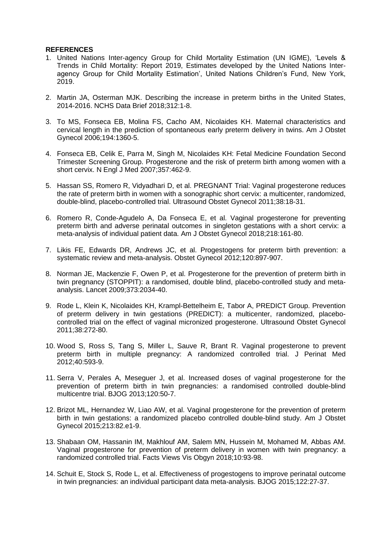## **REFERENCES**

- 1. United Nations Inter-agency Group for Child Mortality Estimation (UN IGME), 'Levels & Trends in Child Mortality: Report 2019, Estimates developed by the United Nations Interagency Group for Child Mortality Estimation', United Nations Children's Fund, New York, 2019.
- 2. Martin JA, Osterman MJK. Describing the increase in preterm births in the United States, 2014-2016. NCHS Data Brief 2018;312:1-8.
- 3. To MS, Fonseca EB, Molina FS, Cacho AM, Nicolaides KH. Maternal characteristics and cervical length in the prediction of spontaneous early preterm delivery in twins. Am J Obstet Gynecol 2006;194:1360-5.
- 4. Fonseca EB, Celik E, Parra M, Singh M, Nicolaides KH: Fetal Medicine Foundation Second Trimester Screening Group. Progesterone and the risk of preterm birth among women with a short cervix. N Engl J Med 2007;357:462-9.
- 5. Hassan SS, Romero R, Vidyadhari D, et al. PREGNANT Trial: Vaginal progesterone reduces the rate of preterm birth in women with a sonographic short cervix: a multicenter, randomized, double-blind, placebo-controlled trial. Ultrasound Obstet Gynecol 2011;38:18-31.
- 6. Romero R, Conde-Agudelo A, Da Fonseca E, et al. Vaginal progesterone for preventing preterm birth and adverse perinatal outcomes in singleton gestations with a short cervix: a meta-analysis of individual patient data. Am J Obstet Gynecol 2018;218:161-80.
- 7. Likis FE, Edwards DR, Andrews JC, et al. Progestogens for preterm birth prevention: a systematic review and meta-analysis. Obstet Gynecol 2012;120:897-907.
- 8. Norman JE, Mackenzie F, Owen P, et al. Progesterone for the prevention of preterm birth in twin pregnancy (STOPPIT): a randomised, double blind, placebo-controlled study and metaanalysis. Lancet 2009;373:2034-40.
- 9. Rode L, Klein K, Nicolaides KH, Krampl-Bettelheim E, Tabor A, PREDICT Group. Prevention of preterm delivery in twin gestations (PREDICT): a multicenter, randomized, placebocontrolled trial on the effect of vaginal micronized progesterone. Ultrasound Obstet Gynecol 2011;38:272-80.
- 10. Wood S, Ross S, Tang S, Miller L, Sauve R, Brant R. Vaginal progesterone to prevent preterm birth in multiple pregnancy: A randomized controlled trial. J Perinat Med 2012;40:593-9.
- 11. Serra V, Perales A, Meseguer J, et al. Increased doses of vaginal progesterone for the prevention of preterm birth in twin pregnancies: a randomised controlled double-blind multicentre trial. BJOG 2013;120:50-7.
- 12. Brizot ML, Hernandez W, Liao AW, et al. Vaginal progesterone for the prevention of preterm birth in twin gestations: a randomized placebo controlled double-blind study. Am J Obstet Gynecol 2015;213:82.e1-9.
- 13. Shabaan OM, Hassanin IM, Makhlouf AM, Salem MN, Hussein M, Mohamed M, Abbas AM. Vaginal progesterone for prevention of preterm delivery in women with twin pregnancy: a randomized controlled trial. Facts Views Vis Obgyn 2018;10:93-98.
- 14. Schuit E, Stock S, Rode L, et al. Effectiveness of progestogens to improve perinatal outcome in twin pregnancies: an individual participant data meta-analysis. BJOG 2015;122:27-37.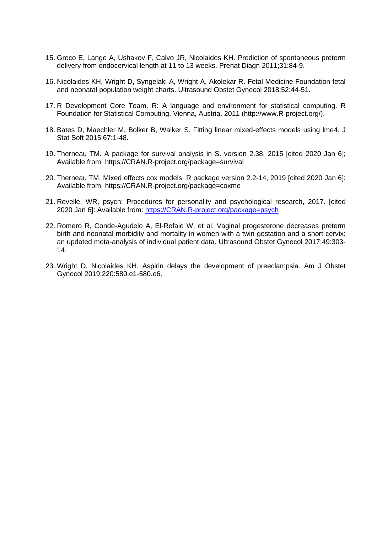- 15. Greco E, Lange A, Ushakov F, Calvo JR, Nicolaides KH. Prediction of spontaneous preterm delivery from endocervical length at 11 to 13 weeks. Prenat Diagn 2011;31:84-9.
- 16. Nicolaides KH, Wright D, Syngelaki A, Wright A, Akolekar R. Fetal Medicine Foundation fetal and neonatal population weight charts. Ultrasound Obstet Gynecol 2018;52:44-51.
- 17. R Development Core Team. R: A language and environment for statistical computing. R Foundation for Statistical Computing, Vienna, Austria. 2011 [\(http://www.R-project.org/\)](http://www.r-project.org/).
- 18. Bates D, Maechler M, Bolker B, Walker S. Fitting linear mixed-effects models using lme4. J Stat Soft 2015;67:1-48.
- 19. Therneau TM. A package for survival analysis in S. version 2.38, 2015 [cited 2020 Jan 6]; Available from: https://CRAN.R-project.org/package=survival
- 20. Therneau TM. Mixed effects cox models. R package version 2.2-14, 2019 [cited 2020 Jan 6]: Available from: https://CRAN.R-project.org/package=coxme
- 21. Revelle, WR, psych: Procedures for personality and psychological research, 2017. [cited 2020 Jan 6]: Available from: [https://CRAN.R-project.org/package=psych](https://cran.r-project.org/package=psych)
- 22. Romero R, Conde-Agudelo A, El-Refaie W, et al. Vaginal progesterone decreases preterm birth and neonatal morbidity and mortality in women with a twin gestation and a short cervix: an updated meta-analysis of individual patient data. Ultrasound Obstet Gynecol 2017;49:303- 14.
- 23. Wright D, Nicolaides KH. Aspirin delays the development of preeclampsia. Am J Obstet Gynecol 2019;220:580.e1-580.e6.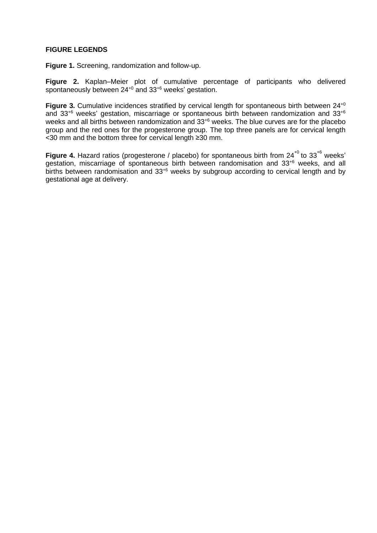## **FIGURE LEGENDS**

**Figure 1.** Screening, randomization and follow-up.

**Figure 2.** Kaplan–Meier plot of cumulative percentage of participants who delivered spontaneously between 24<sup>+0</sup> and 33<sup>+6</sup> weeks' gestation.

**Figure 3.** Cumulative incidences stratified by cervical length for spontaneous birth between 24<sup>+0</sup> and 33+6 weeks' gestation, miscarriage or spontaneous birth between randomization and 33+6 weeks and all births between randomization and 33+6 weeks. The blue curves are for the placebo group and the red ones for the progesterone group. The top three panels are for cervical length <30 mm and the bottom three for cervical length ≥30 mm.

Figure 4. Hazard ratios (progesterone / placebo) for spontaneous birth from 24<sup>+0</sup> to 33<sup>+6</sup> weeks' gestation, miscarriage of spontaneous birth between randomisation and 33<sup>+6</sup> weeks, and all births between randomisation and 33<sup>+6</sup> weeks by subgroup according to cervical length and by gestational age at delivery.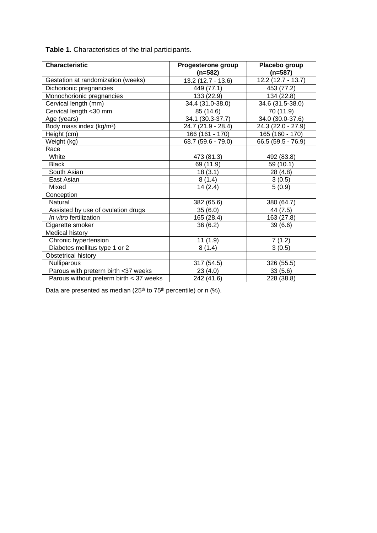**Table 1.** Characteristics of the trial participants.

| <b>Characteristic</b>                   | Progesterone group | Placebo group       |  |
|-----------------------------------------|--------------------|---------------------|--|
|                                         | $(n=582)$          | $(n=587)$           |  |
| Gestation at randomization (weeks)      | 13.2 (12.7 - 13.6) | $12.2(12.7 - 13.7)$ |  |
| Dichorionic pregnancies                 | 449 (77.1)         | 453 (77.2)          |  |
| Monochorionic pregnancies               | 133 (22.9)         | 134 (22.8)          |  |
| Cervical length (mm)                    | 34.4 (31.0-38.0)   | 34.6 (31.5-38.0)    |  |
| Cervical length <30 mm                  | 85 (14.6)          | 70 (11.9)           |  |
| Age (years)                             | 34.1 (30.3-37.7)   | 34.0 (30.0-37.6)    |  |
| Body mass index (kg/m <sup>2</sup> )    | 24.7 (21.9 - 28.4) | 24.3 (22.0 - 27.9)  |  |
| Height (cm)                             | 166 (161 - 170)    | 165 (160 - 170)     |  |
| Weight (kg)                             | 68.7 (59.6 - 79.0) | 66.5 (59.5 - 76.9)  |  |
| Race                                    |                    |                     |  |
| White                                   | 473 (81.3)         | 492 (83.8)          |  |
| <b>Black</b>                            | 69 (11.9)          | 59 (10.1)           |  |
| South Asian                             | 18(3.1)            | 28 (4.8)            |  |
| East Asian                              | 8(1.4)             | 3(0.5)              |  |
| Mixed                                   | 14(2.4)            | 5(0.9)              |  |
| Conception                              |                    |                     |  |
| Natural                                 | 382 (65.6)         | 380 (64.7)          |  |
| Assisted by use of ovulation drugs      | 35(6.0)            | 44 (7.5)            |  |
| In vitro fertilization                  | 165 (28.4)         | 163 (27.8)          |  |
| Cigarette smoker                        | 36(6.2)            | 39(6.6)             |  |
| Medical history                         |                    |                     |  |
| Chronic hypertension                    | 11(1.9)            | 7(1.2)              |  |
| Diabetes mellitus type 1 or 2           | 8(1.4)             | 3(0.5)              |  |
| Obstetrical history                     |                    |                     |  |
| Nulliparous                             | 317 (54.5)         | 326 (55.5)          |  |
| Parous with preterm birth <37 weeks     | 23(4.0)            | 33(5.6)             |  |
| Parous without preterm birth < 37 weeks | 242 (41.6)         | 228 (38.8)          |  |

Data are presented as median (25<sup>th</sup> to 75<sup>th</sup> percentile) or n (%).

 $\begin{array}{c} \hline \end{array}$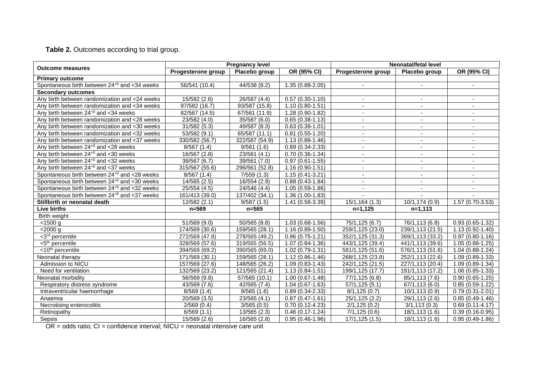# **Table 2.** Outcomes according to trial group.

|                                                          | <b>Pregnancy level</b>    |                             |                               | Neonatal/fetal level         |                                |                          |
|----------------------------------------------------------|---------------------------|-----------------------------|-------------------------------|------------------------------|--------------------------------|--------------------------|
| <b>Outcome measures</b>                                  | Progesterone group        | Placebo group               | OR (95% CI)                   | Progesterone group           | Placebo group                  | OR (95% CI)              |
| <b>Primary outcome</b>                                   |                           |                             |                               |                              |                                |                          |
| Spontaneous birth between 24 <sup>+0</sup> and <34 weeks | 56/541 (10.4)             | 44/538 (8.2)                | 1.35 (0.88-2.05)              |                              |                                |                          |
| <b>Secondary outcomes</b>                                |                           |                             |                               |                              |                                |                          |
| Any birth between randomization and <24 weeks            | 15/582(2.6)               | 26/587 (4.4)                | $0.57(0.30-1.10)$             |                              |                                |                          |
| Any birth between randomization and <34 weeks            | 97/582 (16.7)             | 93/587 (15.8)               | $1.10(0.80 - 1.51)$           |                              |                                |                          |
| Any birth between $24^{+0}$ and $<$ 34 weeks             | 82/567 (14.5)             | 67/561 (11.9)               | $1.28(0.90-1.82)$             |                              |                                |                          |
| Any birth between randomization and <28 weeks            | 23/582(4.0)               | 35/587 (6.0)                | $0.65(0.38-1.13)$             |                              | $\blacksquare$                 | $\sim$                   |
| Any birth between randomization and <30 weeks            | 31/582 (5.3)              | 49/587 (8.3)                | $0.63(0.39-1.01)$             | $\sim$                       | $\sim$                         | $\sim$                   |
| Any birth between randomization and <32 weeks            | $\overline{53/582}$ (9.1) | $\overline{65/587}$ (11.1)  | $0.81(0.55-1.20)$             |                              | $\blacksquare$                 | $\overline{\phantom{a}}$ |
| Any birth between randomization and <37 weeks            | 330/582 (56.7)            | 322/587 (54.9)              | 1.13 (0.88-1.46)              | $\blacksquare$               | $\blacksquare$                 | $\blacksquare$           |
| Any birth between $24^{+0}$ and $<$ 28 weeks             | 8/567(1.4)                | 9/561(1.6)                  | $0.89(0.34 - 2.33)$           | $\blacksquare$               | $\blacksquare$                 | $\blacksquare$           |
| Any birth between $24^{+0}$ and <30 weeks                | 16/567 (2.8)              | 23/561 (4.1)                | $0.70(0.36-1.34)$             | $\blacksquare$               | $\sim$                         | $\sim$                   |
| Any birth between $24^{+0}$ and $<$ 32 weeks             | 38/567 (6.7)              | 39/561 (7.0)                | $0.97(0.61-1.55)$             | $\blacksquare$               | $\overline{\phantom{a}}$       | $\overline{\phantom{a}}$ |
| Any birth between $24^{+0}$ and $<$ 37 weeks             | 315/567 (55.6)            | 296/561 (52.8)              | $1.16(0.90-1.51)$             | $\sim$                       | $\sim$                         | $\blacksquare$           |
| Spontaneous birth between 24 <sup>+0</sup> and <28 weeks | 8/567(1.4)                | 7/559(1.3)                  | $1.15(0.41 - 3.21)$           | $\overline{\phantom{a}}$     | $\sim$                         | $\sim$                   |
| Spontaneous birth between 24 <sup>+0</sup> and <30 weeks | 14/565 (2.5)              | 16/554 (2.9)                | $0.88(0.43-1.84)$             | $\overline{\phantom{a}}$     | $\overline{\phantom{a}}$       | $\blacksquare$           |
| Spontaneous birth between 24 <sup>+0</sup> and <32 weeks | 25/554 (4.5)              | $\sqrt{24}/546(4.4)$        | $\overline{1.05}$ (0.59-1.86) | $\blacksquare$               | $\blacksquare$                 | $\blacksquare$           |
| Spontaneous birth between $24^{+0}$ and $<$ 37 weeks     | 161/413 (39.0)            | 137/402 (34.1)              | 1.36 (1.00-1.83)              |                              |                                |                          |
| Stillbirth or neonatal death                             | 12/582(2.1)               | 9/587(1.5)                  | 1.41 (0.58-3.39)              | 15/1,164 (1.3)               | 10/1,174 (0.9)                 | 1.57 (0.70-3.53)         |
| <b>Live births</b>                                       | $n = 569$                 | $n = 565$                   |                               | $n=1,125$                    | $n=1,113$                      |                          |
| Birth weight                                             |                           |                             |                               |                              |                                |                          |
| < 1500 g                                                 | 51/569 (9.0)              | 50/565(8.8)                 | 1.03 (0.68-1.56)              | 75/1, 125(6.7)               | 76/1,113 (6.8)                 | $0.93(0.65-1.32)$        |
| $<$ 2000 $g$                                             | 174/569 (30.6)            | 159/565 (28.1)              | $1.16(0.89-1.50)$             | 259/1,125 (23.0)             | 239/1,113 (21.5)               | $1.13(0.92 - 1.40)$      |
| $\overline{<}3^{rd}$ percentile                          | 272/569 (47.8)            | 278/565 (49.2)              | $0.96(0.75-1.21)$             | 352/1,125 (31.3)             | 369/1,113 (33.2)               | $0.97(0.80 - 1.16)$      |
| <5 <sup>th</sup> percentile                              | 328/569(57.6)             | 319/565 (56.5)              | $1.07(0.84 - 1.36)$           | 443/1,125 (39.4)             | 441/1,113 (39.6)               | $1.05(0.88 - 1.25)$      |
| <10 <sup>th</sup> percentile                             | 394/569 (69.2)            | 390/565 (69.0)              | $1.02(0.79-1.31)$             | 581/1,125 (51.6)             | 576/1,113 (51.8)               | $1.04(0.88-1.24)$        |
| Neonatal therapy                                         | 171/569 (30.1)            | 159/565 (28.1)              | 1.12 (0.86-1.46)              | 268/1,125 (23.8)             | 252/1,113 (22.6)               | 1.09 (0.89-1.33)         |
| Admission to NICU                                        | 157/569 (27.6)            | 148/565 (26.2)              | $1.09(0.83 - 1.43)$           | 242/1,125 (21.5)             | 227/1,113 (20.4)               | $1.09(0.89 - 1.34)$      |
| Need for ventilation                                     | 132/569 (23.2)            | $\overline{121}/565$ (21.4) | $1.13(0.84 - 1.51)$           | 199/1,125 (17.7)             | 191/1,113 (17.2)               | $1.06(0.85-1.33)$        |
| Neonatal morbidity                                       | 56/569 (9.8)              | 57/565 (10.1)               | 1.00 (0.67-1.48)              | 77/1,125 (6.8)               | 85/1,113 (7.6)                 | $0.90(0.65-1.25)$        |
| Respiratory distress syndrome                            | 43/569 (7.6)              | 42/565(7.4)                 | 1.04 (0.67-1.63)              | 57/1, 125(5.1)               | 67/1,113 (6.0)                 | $0.85(0.59-1.22)$        |
| Intraventricular haemorrhage                             | 8/569(1.4)                | $\overline{9/565}$ (1.6)    | $0.89(0.34 - 2.33)$           | $\overline{8/1}$ , 125 (0.7) | $\overline{10/1,}$ 113 $(0.9)$ | $0.79(0.31 - 2.01)$      |
| Anaemia                                                  | 20/569 (3.5)              | 23/565 (4.1)                | $\overline{0.87}$ (0.47-1.61) | 25/1,125 (2.2)               | 29/1,113 (2.6)                 | $0.85(0.49-1.46)$        |
| Necrotising enterocolitis                                | 2/569(0.4)                | 3/565(0.5)                  | $0.70(0.12-4.23)$             | 2/1, 125(0.2)                | 3/1, 113(0.3)                  | $0.69(0.11-4.17)$        |
| Retinopathy                                              | 6/569(1.1)                | 13/565 (2.3)                | $0.46(0.17-1.24)$             | 7/1,125(0.6)                 | 18/1,113 (1.6)                 | $0.39(0.16-0.95)$        |
| Sepsis                                                   | 15/569 (2.6)              | 16/565 (2.8)                | $0.95(0.46-1.96)$             | 17/1,125 (1.5)               | 18/1,113 (1.6)                 | $0.95(0.49-1.86)$        |

OR = odds ratio; CI = confidence interval; NICU = neonatal intensive care unit